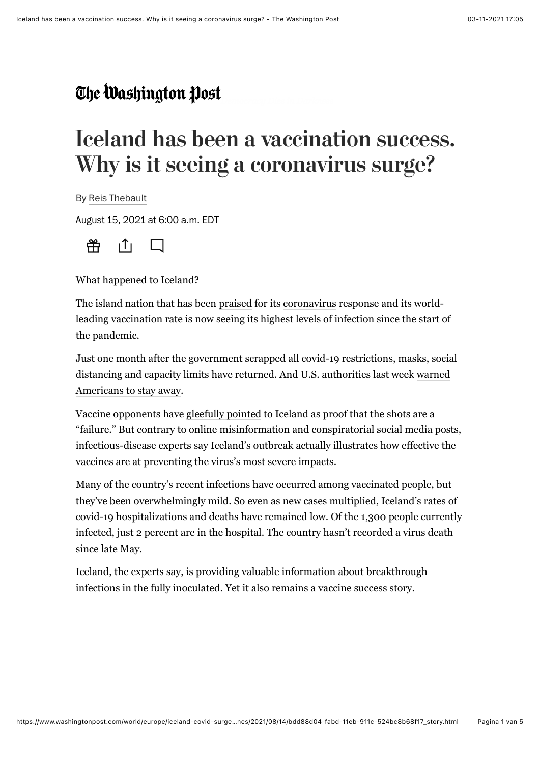## **Iceland has been a vaccination success. Why is it seeing a coronavirus surge?**

By [Reis Thebault](https://www.washingtonpost.com/people/reis-thebault/)

August 15, 2021 at 6:00 a.m. EDT



What happened to Iceland?

The island nation that has been [praised](https://www.nature.com/articles/d41586-020-03284-3) for its [coronavirus](https://www.washingtonpost.com/coronavirus/?itid=lk_inline_manual_3) response and its worldleading vaccination rate is now seeing its highest levels of infection since the start of the pandemic.

Just one month after the government scrapped all covid-19 restrictions, masks, social [distancing and capacity limits have returned. And U.S. authorities last week warned](https://travel.state.gov/content/travel/en/traveladvisories/traveladvisories/iceland-travel-advisory.html) Americans to stay away.

Vaccine opponents have [gleefully pointed](https://www.reuters.com/article/factcheck-iceland-vaccines-idUSL1N2P918F) to Iceland as proof that the shots are a "failure." But contrary to online misinformation and conspiratorial social media posts, infectious-disease experts say Iceland's outbreak actually illustrates how effective the vaccines are at preventing the virus's most severe impacts.

Many of the country's recent infections have occurred among vaccinated people, but they've been overwhelmingly mild. So even as new cases multiplied, Iceland's rates of covid-19 hospitalizations and deaths have remained low. Of the 1,300 people currently infected, just 2 percent are in the hospital. The country hasn't recorded a virus death since late May.

Iceland, the experts say, is providing valuable information about breakthrough infections in the fully inoculated. Yet it also remains a vaccine success story.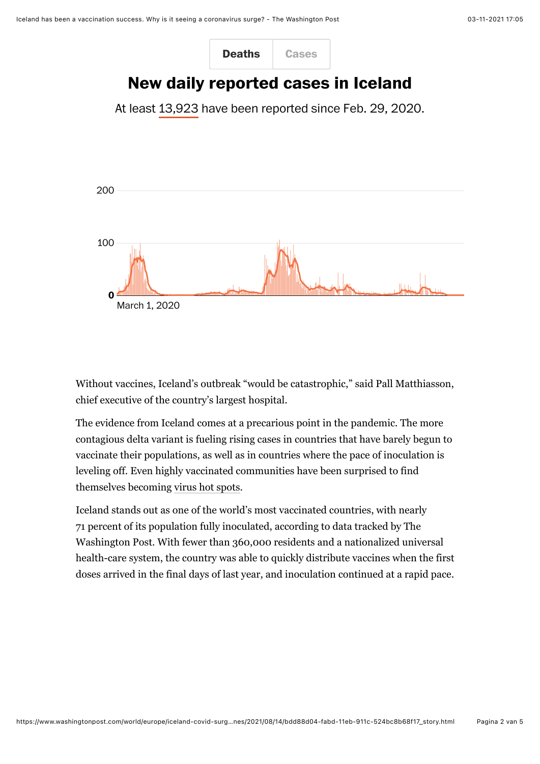

Without vaccines, Iceland's outbreak "would be catastrophic," said Pall Matthiasson, chief executive of the country's largest hospital.

The evidence from Iceland comes at a precarious point in the pandemic. The more contagious delta variant is fueling rising cases in countries that have barely begun to vaccinate their populations, as well as in countries where the pace of inoculation is leveling off. Even highly vaccinated communities have been surprised to find themselves becoming [virus hot spots.](https://www.washingtonpost.com/health/interactive/2021/vaccinated-counties-delta-hotspots/?itid=mr_health_1&itid=lk_inline_manual_14)

Iceland stands out as one of the world's most vaccinated countries, with nearly 71 percent of its population fully inoculated, according to data tracked by The Washington Post. With fewer than 360,000 residents and a nationalized universal health-care system, the country was able to quickly distribute vaccines when the first doses arrived in the final days of last year, and inoculation continued at a rapid pace.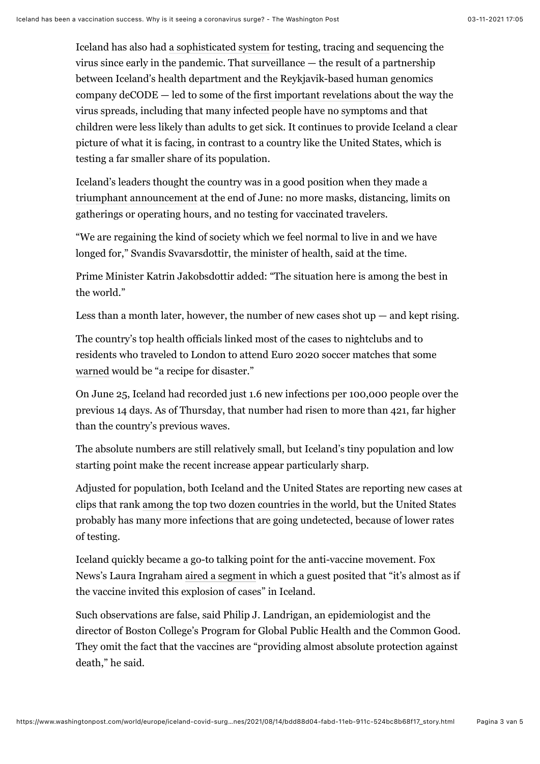Iceland has also had [a sophisticated system](https://www.washingtonpost.com/world/2020/04/02/free-coronavirus-test-anyone-this-country-its-possible/?itid=lk_inline_manual_20) for testing, tracing and sequencing the virus since early in the pandemic. That surveillance — the result of a partnership between Iceland's health department and the Reykjavik-based human genomics company deCODE — led to some of the [first important revelations](https://www.nejm.org/doi/pdf/10.1056/NEJMoa2006100) about the way the virus spreads, including that many infected people have no symptoms and that children were less likely than adults to get sick. It continues to provide Iceland a clear picture of what it is facing, in contrast to a country like the United States, which is testing a far smaller share of its population.

[Iceland's leaders thought the country was in a good position when they made a](https://www.government.is/news/article/2021/06/25/COVID-19-Iceland-removes-all-domestic-COVID-restrictions/) triumphant announcement at the end of June: no more masks, distancing, limits on gatherings or operating hours, and no testing for vaccinated travelers.

"We are regaining the kind of society which we feel normal to live in and we have longed for," Svandis Svavarsdottir, the minister of health, said at the time.

Prime Minister Katrin Jakobsdottir added: "The situation here is among the best in the world."

Less than a month later, however, the number of new cases shot  $up -$  and kept rising.

The country's top health officials linked most of the cases to nightclubs and to residents who traveled to London to attend Euro 2020 soccer matches that some [warned](https://www.theguardian.com/world/2021/jul/01/covid-euro-2020-crowds-a-recipe-for-disaster-warns-german-minister) would be "a recipe for disaster."

On June 25, Iceland had recorded just 1.6 new infections per 100,000 people over the previous 14 days. As of Thursday, that number had risen to more than 421, far higher than the country's previous waves.

The absolute numbers are still relatively small, but Iceland's tiny population and low starting point make the recent increase appear particularly sharp.

Adjusted for population, both Iceland and the United States are reporting new cases at clips that rank [among the top two dozen countries in the world,](https://www.washingtonpost.com/graphics/2020/world/mapping-spread-new-coronavirus/?itid=sn_coronavirus_2/&itid=lk_inline_manual_34) but the United States probably has many more infections that are going undetected, because of lower rates of testing.

Iceland quickly became a go-to talking point for the anti-vaccine movement. Fox News's Laura Ingraham [aired a segment](https://www.mediamatters.org/coronavirus-covid-19/laura-ingraham-misleads-about-covid-19-cases-iceland-where-vaccines-are) in which a guest posited that "it's almost as if the vaccine invited this explosion of cases" in Iceland.

Such observations are false, said Philip J. Landrigan, an epidemiologist and the director of Boston College's Program for Global Public Health and the Common Good. They omit the fact that the vaccines are "providing almost absolute protection against death," he said.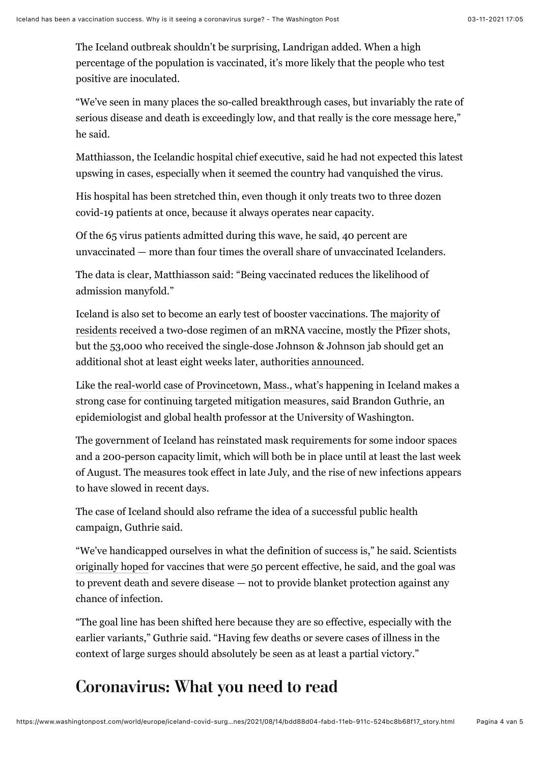The Iceland outbreak shouldn't be surprising, Landrigan added. When a high percentage of the population is vaccinated, it's more likely that the people who test positive are inoculated.

"We've seen in many places the so-called breakthrough cases, but invariably the rate of serious disease and death is exceedingly low, and that really is the core message here," he said.

Matthiasson, the Icelandic hospital chief executive, said he had not expected this latest upswing in cases, especially when it seemed the country had vanquished the virus.

His hospital has been stretched thin, even though it only treats two to three dozen covid-19 patients at once, because it always operates near capacity.

Of the 65 virus patients admitted during this wave, he said, 40 percent are unvaccinated — more than four times the overall share of unvaccinated Icelanders.

The data is clear, Matthiasson said: "Being vaccinated reduces the likelihood of admission manyfold."

Iceland is also set to become an early test of booster vaccinations. The majority of [residents received a two-dose regimen of an mRNA vaccine, mostly the Pfizer shot](https://www.covid.is/statistical-information-on-vaccination)s, but the 53,000 who received the single-dose Johnson & Johnson jab should get an additional shot at least eight weeks later, authorities [announced.](https://www.landlaeknir.is/um-embaettid/frettir/frett/item47133/maelt-med-orvunarbolusetningu-fyrir-einstaklinga-sem-fengu-covid-19-boluefni-janssen)

Like the [real-world case of Provincetown, Mass.](https://www.washingtonpost.com/health/2021/07/30/provincetown-covid-outbreak-vaccinated/?itid=lk_inline_manual_51), what's happening in Iceland makes a strong case for continuing targeted mitigation measures, said Brandon Guthrie, an epidemiologist and global health professor at the University of Washington.

The government of Iceland has reinstated mask requirements for some indoor spaces and a 200-person capacity limit, which will both be in place until at least the last week of August. The measures took effect in late July, and the rise of new infections appears to have slowed in recent days.

The case of Iceland should also reframe the idea of a successful public health campaign, Guthrie said.

"We've handicapped ourselves in what the definition of success is," he said. Scientists [originally hoped](https://www.cnbc.com/2020/08/18/coronavirus-vaccine-with-50percent-efficacy-would-be-game-changer.html) for vaccines that were 50 percent effective, he said, and the goal was to prevent death and severe disease — not to provide blanket protection against any chance of infection.

"The goal line has been shifted here because they are so effective, especially with the earlier variants," Guthrie said. "Having few deaths or severe cases of illness in the context of large surges should absolutely be seen as at least a partial victory."

## **Coronavirus: What you need to read**